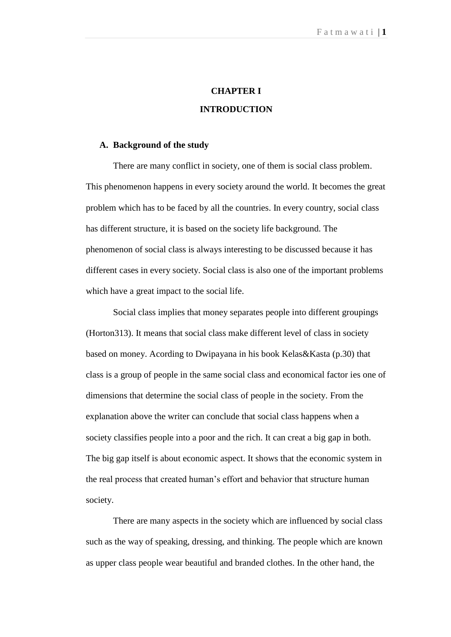# **CHAPTER I INTRODUCTION**

#### **A. Background of the study**

There are many conflict in society, one of them is social class problem. This phenomenon happens in every society around the world. It becomes the great problem which has to be faced by all the countries. In every country, social class has different structure, it is based on the society life background. The phenomenon of social class is always interesting to be discussed because it has different cases in every society. Social class is also one of the important problems which have a great impact to the social life.

Social class implies that money separates people into different groupings (Horton313). It means that social class make different level of class in society based on money. Acording to Dwipayana in his book Kelas&Kasta (p.30) that class is a group of people in the same social class and economical factor ies one of dimensions that determine the social class of people in the society. From the explanation above the writer can conclude that social class happens when a society classifies people into a poor and the rich. It can creat a big gap in both. The big gap itself is about economic aspect. It shows that the economic system in the real process that created human's effort and behavior that structure human society.

There are many aspects in the society which are influenced by social class such as the way of speaking, dressing, and thinking. The people which are known as upper class people wear beautiful and branded clothes. In the other hand, the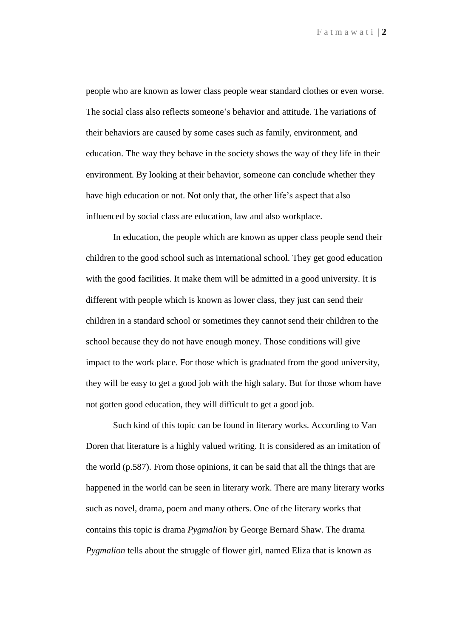people who are known as lower class people wear standard clothes or even worse. The social class also reflects someone's behavior and attitude. The variations of their behaviors are caused by some cases such as family, environment, and education. The way they behave in the society shows the way of they life in their environment. By looking at their behavior, someone can conclude whether they have high education or not. Not only that, the other life's aspect that also influenced by social class are education, law and also workplace.

In education, the people which are known as upper class people send their children to the good school such as international school. They get good education with the good facilities. It make them will be admitted in a good university. It is different with people which is known as lower class, they just can send their children in a standard school or sometimes they cannot send their children to the school because they do not have enough money. Those conditions will give impact to the work place. For those which is graduated from the good university, they will be easy to get a good job with the high salary. But for those whom have not gotten good education, they will difficult to get a good job.

Such kind of this topic can be found in literary works. According to Van Doren that literature is a highly valued writing. It is considered as an imitation of the world (p.587). From those opinions, it can be said that all the things that are happened in the world can be seen in literary work. There are many literary works such as novel, drama, poem and many others. One of the literary works that contains this topic is drama *Pygmalion* by George Bernard Shaw. The drama *Pygmalion* tells about the struggle of flower girl, named Eliza that is known as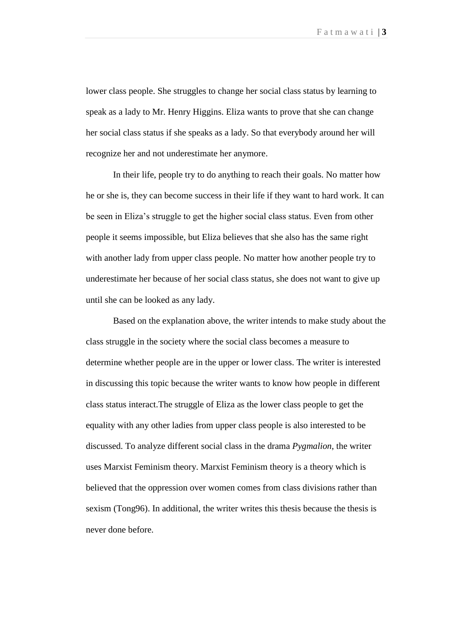lower class people. She struggles to change her social class status by learning to speak as a lady to Mr. Henry Higgins. Eliza wants to prove that she can change her social class status if she speaks as a lady. So that everybody around her will recognize her and not underestimate her anymore.

In their life, people try to do anything to reach their goals. No matter how he or she is, they can become success in their life if they want to hard work. It can be seen in Eliza's struggle to get the higher social class status. Even from other people it seems impossible, but Eliza believes that she also has the same right with another lady from upper class people. No matter how another people try to underestimate her because of her social class status, she does not want to give up until she can be looked as any lady.

Based on the explanation above, the writer intends to make study about the class struggle in the society where the social class becomes a measure to determine whether people are in the upper or lower class. The writer is interested in discussing this topic because the writer wants to know how people in different class status interact.The struggle of Eliza as the lower class people to get the equality with any other ladies from upper class people is also interested to be discussed. To analyze different social class in the drama *Pygmalion*, the writer uses Marxist Feminism theory. Marxist Feminism theory is a theory which is believed that the oppression over women comes from class divisions rather than sexism (Tong96). In additional, the writer writes this thesis because the thesis is never done before.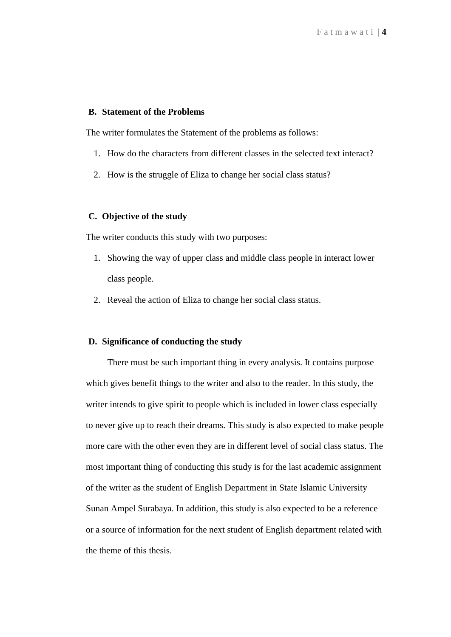#### **B. Statement of the Problems**

The writer formulates the Statement of the problems as follows:

- 1. How do the characters from different classes in the selected text interact?
- 2. How is the struggle of Eliza to change her social class status?

#### **C. Objective of the study**

The writer conducts this study with two purposes:

- 1. Showing the way of upper class and middle class people in interact lower class people.
- 2. Reveal the action of Eliza to change her social class status.

#### **D. Significance of conducting the study**

There must be such important thing in every analysis. It contains purpose which gives benefit things to the writer and also to the reader. In this study, the writer intends to give spirit to people which is included in lower class especially to never give up to reach their dreams. This study is also expected to make people more care with the other even they are in different level of social class status. The most important thing of conducting this study is for the last academic assignment of the writer as the student of English Department in State Islamic University Sunan Ampel Surabaya. In addition, this study is also expected to be a reference or a source of information for the next student of English department related with the theme of this thesis.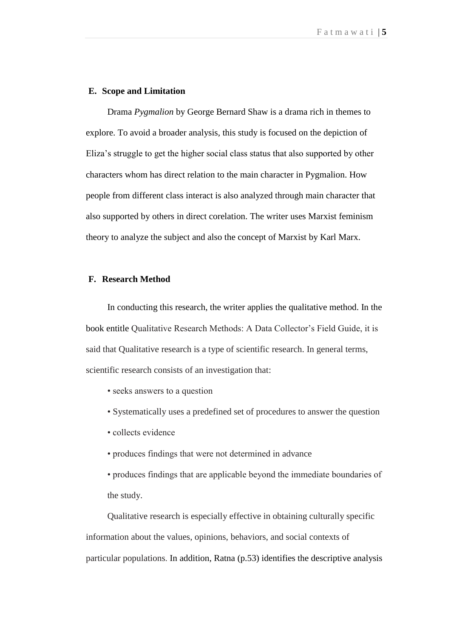#### **E. Scope and Limitation**

Drama *Pygmalion* by George Bernard Shaw is a drama rich in themes to explore. To avoid a broader analysis, this study is focused on the depiction of Eliza's struggle to get the higher social class status that also supported by other characters whom has direct relation to the main character in Pygmalion. How people from different class interact is also analyzed through main character that also supported by others in direct corelation. The writer uses Marxist feminism theory to analyze the subject and also the concept of Marxist by Karl Marx.

### **F. Research Method**

In conducting this research, the writer applies the qualitative method. In the book entitle Qualitative Research Methods: A Data Collector's Field Guide, it is said that Qualitative research is a type of scientific research. In general terms, scientific research consists of an investigation that:

- seeks answers to a question
- Systematically uses a predefined set of procedures to answer the question
- collects evidence
- produces findings that were not determined in advance
- produces findings that are applicable beyond the immediate boundaries of the study.

Qualitative research is especially effective in obtaining culturally specific information about the values, opinions, behaviors, and social contexts of particular populations. In addition, Ratna (p.53) identifies the descriptive analysis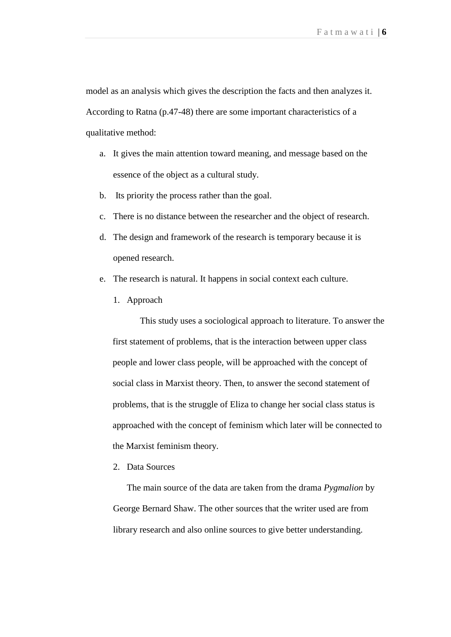model as an analysis which gives the description the facts and then analyzes it. According to Ratna (p.47-48) there are some important characteristics of a qualitative method:

- a. It gives the main attention toward meaning, and message based on the essence of the object as a cultural study.
- b. Its priority the process rather than the goal.
- c. There is no distance between the researcher and the object of research.
- d. The design and framework of the research is temporary because it is opened research.
- e. The research is natural. It happens in social context each culture.
	- 1. Approach

This study uses a sociological approach to literature. To answer the first statement of problems, that is the interaction between upper class people and lower class people, will be approached with the concept of social class in Marxist theory. Then, to answer the second statement of problems, that is the struggle of Eliza to change her social class status is approached with the concept of feminism which later will be connected to the Marxist feminism theory.

2. Data Sources

The main source of the data are taken from the drama *Pygmalion* by George Bernard Shaw. The other sources that the writer used are from library research and also online sources to give better understanding.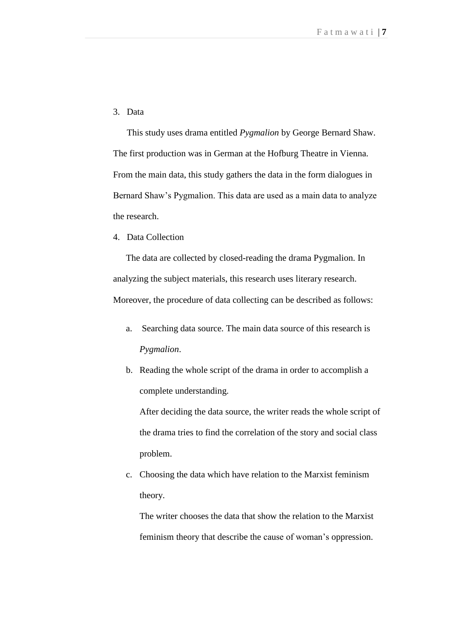3. Data

This study uses drama entitled *Pygmalion* by George Bernard Shaw. The first production was in German at the Hofburg Theatre in Vienna. From the main data, this study gathers the data in the form dialogues in Bernard Shaw's Pygmalion. This data are used as a main data to analyze the research.

4. Data Collection

The data are collected by closed-reading the drama Pygmalion. In analyzing the subject materials, this research uses literary research. Moreover, the procedure of data collecting can be described as follows:

- a. Searching data source. The main data source of this research is *Pygmalion*.
- b. Reading the whole script of the drama in order to accomplish a complete understanding.

After deciding the data source, the writer reads the whole script of the drama tries to find the correlation of the story and social class problem.

c. Choosing the data which have relation to the Marxist feminism theory.

The writer chooses the data that show the relation to the Marxist feminism theory that describe the cause of woman's oppression.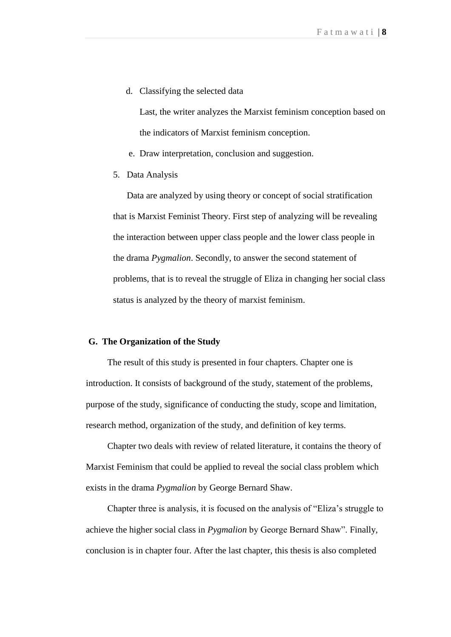d. Classifying the selected data

Last, the writer analyzes the Marxist feminism conception based on the indicators of Marxist feminism conception.

- e. Draw interpretation, conclusion and suggestion.
- 5. Data Analysis

Data are analyzed by using theory or concept of social stratification that is Marxist Feminist Theory. First step of analyzing will be revealing the interaction between upper class people and the lower class people in the drama *Pygmalion*. Secondly, to answer the second statement of problems, that is to reveal the struggle of Eliza in changing her social class status is analyzed by the theory of marxist feminism.

#### **G. The Organization of the Study**

The result of this study is presented in four chapters. Chapter one is introduction. It consists of background of the study, statement of the problems, purpose of the study, significance of conducting the study, scope and limitation, research method, organization of the study, and definition of key terms.

Chapter two deals with review of related literature, it contains the theory of Marxist Feminism that could be applied to reveal the social class problem which exists in the drama *Pygmalion* by George Bernard Shaw.

Chapter three is analysis, it is focused on the analysis of "Eliza's struggle to achieve the higher social class in *Pygmalion* by George Bernard Shaw". Finally, conclusion is in chapter four. After the last chapter, this thesis is also completed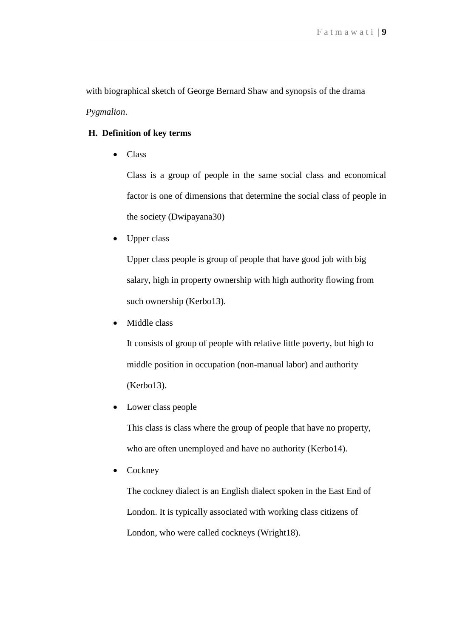with biographical sketch of George Bernard Shaw and synopsis of the drama *Pygmalion*.

## **H. Definition of key terms**

• Class

Class is a group of people in the same social class and economical factor is one of dimensions that determine the social class of people in the society (Dwipayana30)

Upper class

Upper class people is group of people that have good job with big salary, high in property ownership with high authority flowing from such ownership (Kerbo13).

Middle class

It consists of group of people with relative little poverty, but high to middle position in occupation (non-manual labor) and authority (Kerbo13).

Lower class people

This class is class where the group of people that have no property, who are often unemployed and have no authority (Kerbo14).

Cockney

The cockney dialect is an English dialect spoken in the East End of London. It is typically associated with working class citizens of London, who were called cockneys (Wright18).